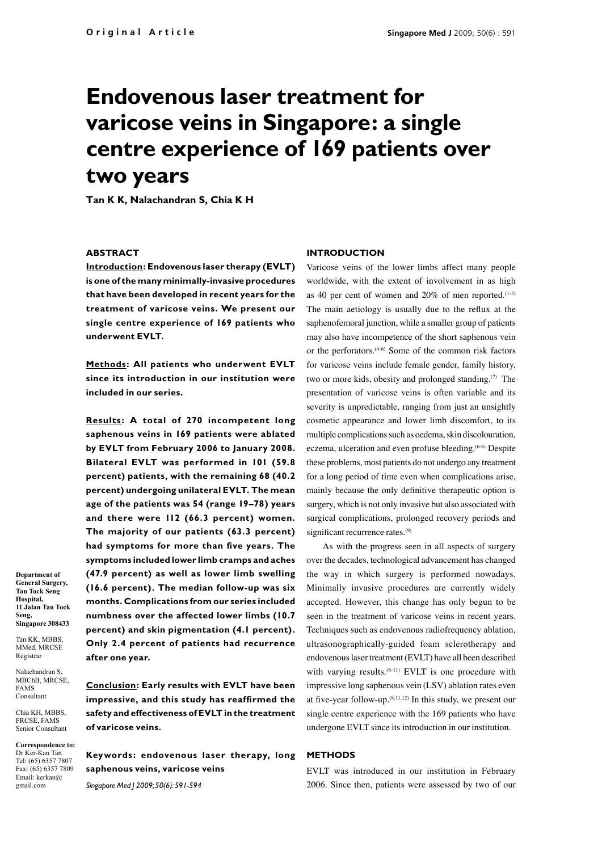# **Endovenous laser treatment for varicose veins in Singapore: a single centre experience of 169 patients over two years**

**Tan K K, Nalachandran S, Chia K H**

## **ABSTRACT**

**Introduction: Endovenous laser therapy (EVLT) is one of the many minimally-invasive procedures that have been developed in recent years for the treatment of varicose veins. We present our single centre experience of 169 patients who underwent EVLT.** 

**Methods: All patients who underwent EVLT since its introduction in our institution were included in our series.**

**Results : A total of 270 incompetent long saphenous veins in 169 patients were ablated by EVLT from February 2006 to January 2008. Bilateral EVLT was performed in 101 (59.8 percent) patients, with the remaining 68 (40.2 percent) undergoing unilateral EVLT. The mean age of the patients was 54 (range 19–78) years and there were 112 (66.3 percent) women. The majority of our patients (63.3 percent) had symptoms for more than five years. The symptoms included lower limb cramps and aches (47.9 percent) as well as lower limb swelling (16.6 percent). The median follow-up was six months. Complications from our series included numbness over the affected lower limbs (10.7 percent) and skin pigmentation (4.1 percent). Only 2.4 percent of patients had recurrence after one year.**

**Conclusion: Early results with EVLT have been impressive, and this study has reaffirmed the safety and effectiveness of EVLT in the treatment of varicose veins.** 

**Keywords: endovenous laser therapy, long saphenous veins, varicose veins**

*Singapore Med J 2009; 50(6): 591-594*

## **Introduction**

Varicose veins of the lower limbs affect many people worldwide, with the extent of involvement in as high as 40 per cent of women and  $20\%$  of men reported.<sup>(1-3)</sup> The main aetiology is usually due to the reflux at the saphenofemoral junction, while a smaller group of patients may also have incompetence of the short saphenous vein or the perforators.(4-6) Some of the common risk factors for varicose veins include female gender, family history, two or more kids, obesity and prolonged standing. $(7)$  The presentation of varicose veins is often variable and its severity is unpredictable, ranging from just an unsightly cosmetic appearance and lower limb discomfort, to its multiple complications such as oedema, skin discolouration, eczema, ulceration and even profuse bleeding.<sup>(6-8)</sup> Despite these problems, most patients do not undergo any treatment for a long period of time even when complications arise, mainly because the only definitive therapeutic option is surgery, which is not only invasive but also associated with surgical complications, prolonged recovery periods and significant recurrence rates.<sup>(9)</sup>

As with the progress seen in all aspects of surgery over the decades, technological advancement has changed the way in which surgery is performed nowadays. Minimally invasive procedures are currently widely accepted. However, this change has only begun to be seen in the treatment of varicose veins in recent years. Techniques such as endovenous radiofrequency ablation, ultrasonographically-guided foam sclerotherapy and endovenous laser treatment (EVLT) have all been described with varying results.<sup> $(6-11)$ </sup> EVLT is one procedure with impressive long saphenous vein (LSV) ablation rates even at five-year follow-up. $(8,11,12)$  In this study, we present our single centre experience with the 169 patients who have undergone EVLT since its introduction in our institution.

## **Methods**

EVLT was introduced in our institution in February 2006. Since then, patients were assessed by two of our

**Department of General Surgery, Tan Tock Seng Hospital, 11 Jalan Tan Tock Seng, Singapore 308433**

Tan KK, MBBS MMed, MRCSE Registrar

Nalachandran S, MBChB, MRCSE, FAMS Consultant

Chia KH, MBBS, FRCSE, FAMS Senior Consultant

**Correspondence to:**  Dr Ker-Kan Tan Tel: (65) 6357 7807 Fax: (65) 6357 7809 Email: kerkan@ gmail.com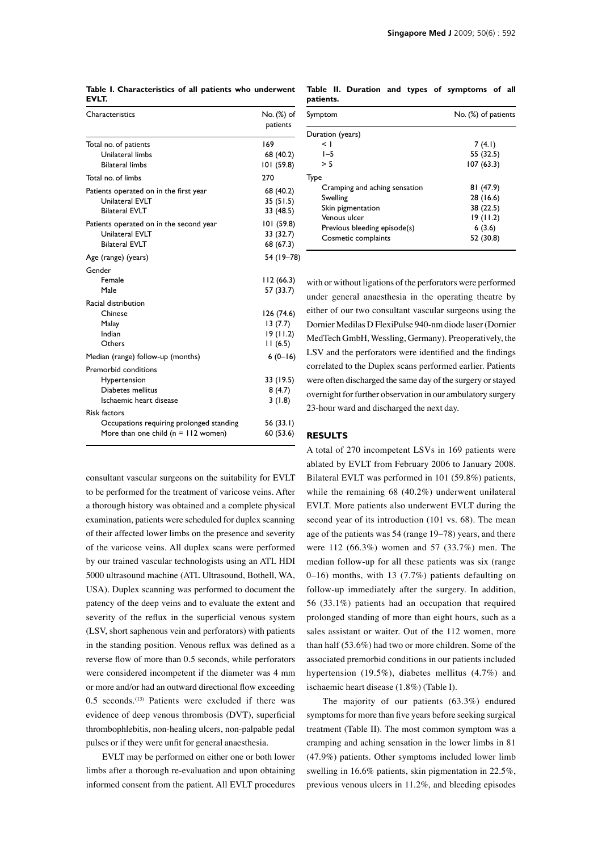| Characteristics                          | No. (%) of |
|------------------------------------------|------------|
|                                          | patients   |
| Total no. of patients                    | 169        |
| Unilateral limbs                         | 68 (40.2)  |
| <b>Bilateral limbs</b>                   | 101 (59.8) |
| Total no. of limbs                       | 270        |
| Patients operated on in the first year   | 68 (40.2)  |
| Unilateral EVLT                          | 35(51.5)   |
| <b>Bilateral EVLT</b>                    | 33 (48.5)  |
| Patients operated on in the second year  | 101 (59.8) |
| Unilateral EVLT                          | 33 (32.7)  |
| <b>Bilateral EVLT</b>                    | 68 (67.3)  |
| Age (range) (years)                      | 54 (19-78) |
| Gender                                   |            |
| Female                                   | 112(66.3)  |
| Male                                     | 57 (33.7)  |
| Racial distribution                      |            |
| Chinese                                  | 126 (74.6) |
| Malay                                    | 13 (7.7)   |
| Indian                                   | 19(11.2)   |
| Others                                   | 11(6.5)    |
| Median (range) follow-up (months)        | $6(0-16)$  |
| Premorbid conditions                     |            |
| Hypertension                             | 33 (19.5)  |
| Diabetes mellitus                        | 8(4.7)     |
| Ischaemic heart disease                  | 3(1.8)     |
| <b>Risk factors</b>                      |            |
| Occupations requiring prolonged standing | 56 (33.1)  |
| More than one child $(n = 112$ women)    | 60 (53.6)  |

**Table I. Characteristics of all patients who underwent EVLT.** 

consultant vascular surgeons on the suitability for EVLT to be performed for the treatment of varicose veins. After a thorough history was obtained and a complete physical examination, patients were scheduled for duplex scanning of their affected lower limbs on the presence and severity of the varicose veins. All duplex scans were performed by our trained vascular technologists using an ATL HDI 5000 ultrasound machine (ATL Ultrasound, Bothell, WA, USA). Duplex scanning was performed to document the patency of the deep veins and to evaluate the extent and severity of the reflux in the superficial venous system (LSV, short saphenous vein and perforators) with patients in the standing position. Venous reflux was defined as a reverse flow of more than 0.5 seconds, while perforators were considered incompetent if the diameter was 4 mm or more and/or had an outward directional flow exceeding 0.5 seconds.<sup>(13)</sup> Patients were excluded if there was evidence of deep venous thrombosis (DVT), superficial thrombophlebitis, non-healing ulcers, non-palpable pedal pulses or if they were unfit for general anaesthesia.

EVLT may be performed on either one or both lower limbs after a thorough re-evaluation and upon obtaining informed consent from the patient. All EVLT procedures

**Table II. Duration and types of symptoms of all patients.**

| Symptom                       | No. (%) of patients |
|-------------------------------|---------------------|
| Duration (years)              |                     |
| < 1                           | 7(4.1)              |
| $I - 5$                       | 55 (32.5)           |
| > 5                           | 107(63.3)           |
| Type                          |                     |
| Cramping and aching sensation | 81 (47.9)           |
| Swelling                      | 28 (16.6)           |
| Skin pigmentation             | 38 (22.5)           |
| Venous ulcer                  | 19(11.2)            |
| Previous bleeding episode(s)  | 6(3.6)              |
| Cosmetic complaints           | 52 (30.8)           |

with or without ligations of the perforators were performed under general anaesthesia in the operating theatre by either of our two consultant vascular surgeons using the Dornier Medilas D FlexiPulse 940-nm diode laser (Dornier MedTech GmbH, Wessling, Germany). Preoperatively, the LSV and the perforators were identified and the findings correlated to the Duplex scans performed earlier. Patients were often discharged the same day of the surgery or stayed overnight for further observation in our ambulatory surgery 23-hour ward and discharged the next day.

### **Results**

A total of 270 incompetent LSVs in 169 patients were ablated by EVLT from February 2006 to January 2008. Bilateral EVLT was performed in 101 (59.8%) patients, while the remaining 68 (40.2%) underwent unilateral EVLT. More patients also underwent EVLT during the second year of its introduction (101 vs. 68). The mean age of the patients was 54 (range 19–78) years, and there were 112 (66.3%) women and 57 (33.7%) men. The median follow-up for all these patients was six (range 0–16) months, with 13 (7.7%) patients defaulting on follow-up immediately after the surgery. In addition, 56 (33.1%) patients had an occupation that required prolonged standing of more than eight hours, such as a sales assistant or waiter. Out of the 112 women, more than half (53.6%) had two or more children. Some of the associated premorbid conditions in our patients included hypertension (19.5%), diabetes mellitus (4.7%) and ischaemic heart disease (1.8%) (Table I).

The majority of our patients (63.3%) endured symptoms for more than five years before seeking surgical treatment (Table II). The most common symptom was a cramping and aching sensation in the lower limbs in 81 (47.9%) patients. Other symptoms included lower limb swelling in 16.6% patients, skin pigmentation in 22.5%, previous venous ulcers in 11.2%, and bleeding episodes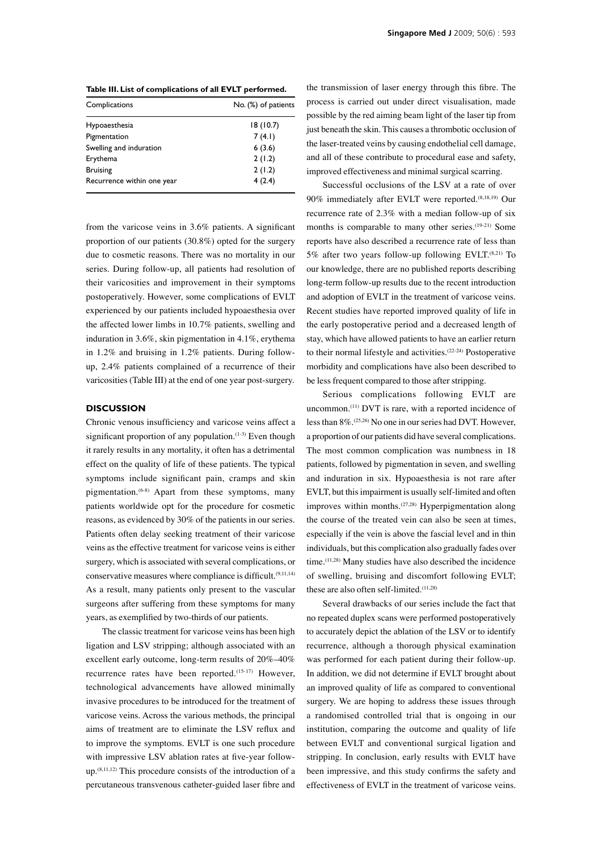| Complications              | No. (%) of patients |
|----------------------------|---------------------|
| Hypoaesthesia              | 18(10.7)            |
| Pigmentation               | 7(4.1)              |
| Swelling and induration    | 6(3.6)              |
| Erythema                   | 2(1.2)              |
| <b>Bruising</b>            | 2(1.2)              |
| Recurrence within one year | 4(2.4)              |

from the varicose veins in 3.6% patients. A significant proportion of our patients (30.8%) opted for the surgery due to cosmetic reasons. There was no mortality in our series. During follow-up, all patients had resolution of their varicosities and improvement in their symptoms postoperatively. However, some complications of EVLT experienced by our patients included hypoaesthesia over the affected lower limbs in 10.7% patients, swelling and induration in 3.6%, skin pigmentation in 4.1%, erythema in 1.2% and bruising in 1.2% patients. During followup, 2.4% patients complained of a recurrence of their varicosities (Table III) at the end of one year post-surgery.

### **Discussion**

Chronic venous insufficiency and varicose veins affect a significant proportion of any population.<sup>(1-3)</sup> Even though it rarely results in any mortality, it often has a detrimental effect on the quality of life of these patients. The typical symptoms include significant pain, cramps and skin pigmentation.<sup>(6-8)</sup> Apart from these symptoms, many patients worldwide opt for the procedure for cosmetic reasons, as evidenced by 30% of the patients in our series. Patients often delay seeking treatment of their varicose veins as the effective treatment for varicose veins is either surgery, which is associated with several complications, or conservative measures where compliance is difficult.(9,11,14) As a result, many patients only present to the vascular surgeons after suffering from these symptoms for many years, as exemplified by two-thirds of our patients.

The classic treatment for varicose veins has been high ligation and LSV stripping; although associated with an excellent early outcome, long-term results of 20%–40% recurrence rates have been reported.(15-17) However, technological advancements have allowed minimally invasive procedures to be introduced for the treatment of varicose veins. Across the various methods, the principal aims of treatment are to eliminate the LSV reflux and to improve the symptoms. EVLT is one such procedure with impressive LSV ablation rates at five-year followup.(8,11,12) This procedure consists of the introduction of a percutaneous transvenous catheter-guided laser fibre and

the transmission of laser energy through this fibre. The process is carried out under direct visualisation, made possible by the red aiming beam light of the laser tip from just beneath the skin. This causes a thrombotic occlusion of the laser-treated veins by causing endothelial cell damage, and all of these contribute to procedural ease and safety, improved effectiveness and minimal surgical scarring.

Successful occlusions of the LSV at a rate of over 90% immediately after EVLT were reported.(8,18,19) Our recurrence rate of 2.3% with a median follow-up of six months is comparable to many other series.<sup>(19-21)</sup> Some reports have also described a recurrence rate of less than 5% after two years follow-up following EVLT.<sup>(8,21)</sup> To our knowledge, there are no published reports describing long-term follow-up results due to the recent introduction and adoption of EVLT in the treatment of varicose veins. Recent studies have reported improved quality of life in the early postoperative period and a decreased length of stay, which have allowed patients to have an earlier return to their normal lifestyle and activities.(22-24) Postoperative morbidity and complications have also been described to be less frequent compared to those after stripping.

Serious complications following EVLT are uncommon.(11) DVT is rare, with a reported incidence of less than 8%.(25,26) No one in our series had DVT. However, a proportion of our patients did have several complications. The most common complication was numbness in 18 patients, followed by pigmentation in seven, and swelling and induration in six. Hypoaesthesia is not rare after EVLT, but this impairment is usually self-limited and often improves within months.<sup>(27,28)</sup> Hyperpigmentation along the course of the treated vein can also be seen at times, especially if the vein is above the fascial level and in thin individuals, but this complication also gradually fades over time.(11,28) Many studies have also described the incidence of swelling, bruising and discomfort following EVLT; these are also often self-limited.(11,28)

Several drawbacks of our series include the fact that no repeated duplex scans were performed postoperatively to accurately depict the ablation of the LSV or to identify recurrence, although a thorough physical examination was performed for each patient during their follow-up. In addition, we did not determine if EVLT brought about an improved quality of life as compared to conventional surgery. We are hoping to address these issues through a randomised controlled trial that is ongoing in our institution, comparing the outcome and quality of life between EVLT and conventional surgical ligation and stripping. In conclusion, early results with EVLT have been impressive, and this study confirms the safety and effectiveness of EVLT in the treatment of varicose veins.